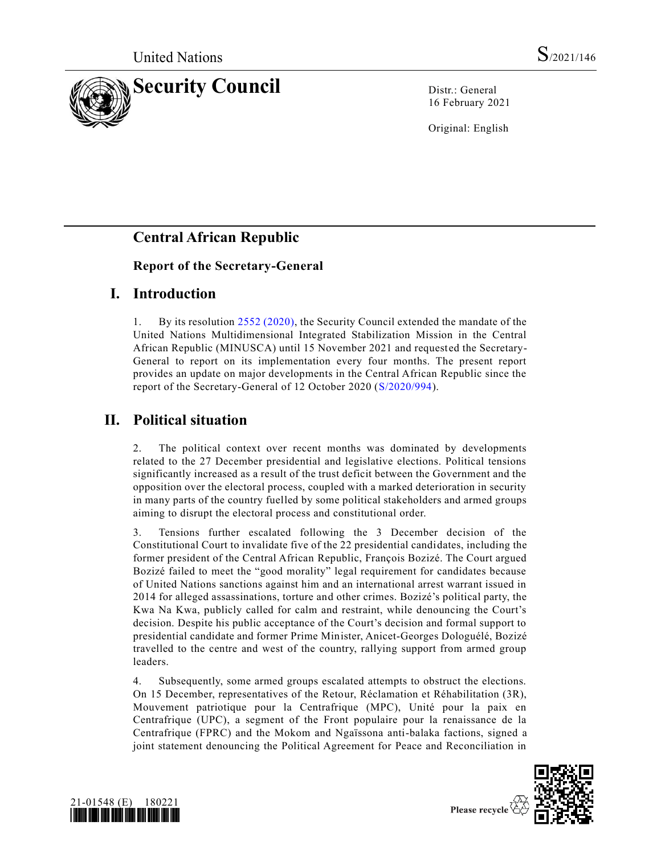

16 February 2021

Original: English

# **Central African Republic**

## **Report of the Secretary-General**

## **I. Introduction**

1. By its resolution [2552 \(2020\),](https://undocs.org/en/S/RES/2552(2020)) the Security Council extended the mandate of the United Nations Multidimensional Integrated Stabilization Mission in the Central African Republic (MINUSCA) until 15 November 2021 and requested the Secretary-General to report on its implementation every four months. The present report provides an update on major developments in the Central African Republic since the report of the Secretary-General of 12 October 2020 [\(S/2020/994\)](https://undocs.org/en/S/2020/994).

# **II. Political situation**

2. The political context over recent months was dominated by developments related to the 27 December presidential and legislative elections. Political tensions significantly increased as a result of the trust deficit between the Government and the opposition over the electoral process, coupled with a marked deterioration in security in many parts of the country fuelled by some political stakeholders and armed groups aiming to disrupt the electoral process and constitutional order.

3. Tensions further escalated following the 3 December decision of the Constitutional Court to invalidate five of the 22 presidential candidates, including the former president of the Central African Republic, François Bozizé. The Court argued Bozizé failed to meet the "good morality" legal requirement for candidates because of United Nations sanctions against him and an international arrest warrant issued in 2014 for alleged assassinations, torture and other crimes. Bozizé's political party, the Kwa Na Kwa, publicly called for calm and restraint, while denouncing the Court's decision. Despite his public acceptance of the Court's decision and formal support to presidential candidate and former Prime Minister, Anicet-Georges Dologuélé, Bozizé travelled to the centre and west of the country, rallying support from armed group leaders.

4. Subsequently, some armed groups escalated attempts to obstruct the elections. On 15 December, representatives of the Retour, Réclamation et Réhabilitation (3R), Mouvement patriotique pour la Centrafrique (MPC), Unité pour la paix en Centrafrique (UPC), a segment of the Front populaire pour la renaissance de la Centrafrique (FPRC) and the Mokom and Ngaïssona anti-balaka factions, signed a joint statement denouncing the Political Agreement for Peace and Reconciliation in



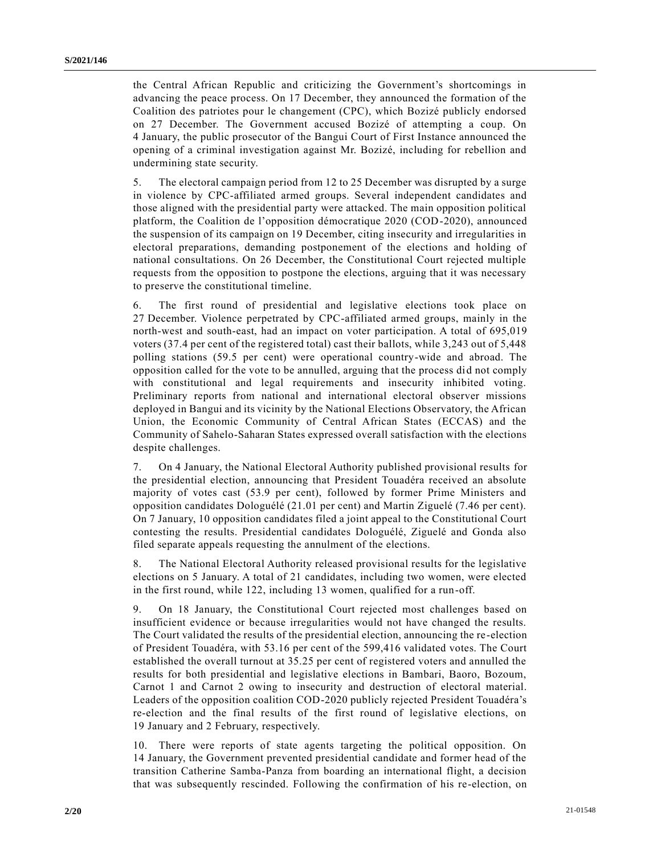the Central African Republic and criticizing the Government's shortcomings in advancing the peace process. On 17 December, they announced the formation of the Coalition des patriotes pour le changement (CPC), which Bozizé publicly endorsed on 27 December. The Government accused Bozizé of attempting a coup. On 4 January, the public prosecutor of the Bangui Court of First Instance announced the opening of a criminal investigation against Mr. Bozizé, including for rebellion and undermining state security.

5. The electoral campaign period from 12 to 25 December was disrupted by a surge in violence by CPC-affiliated armed groups. Several independent candidates and those aligned with the presidential party were attacked. The main opposition political platform, the Coalition de l'opposition démocratique 2020 (COD-2020), announced the suspension of its campaign on 19 December, citing insecurity and irregularities in electoral preparations, demanding postponement of the elections and holding of national consultations. On 26 December, the Constitutional Court rejected multiple requests from the opposition to postpone the elections, arguing that it was necessary to preserve the constitutional timeline.

6. The first round of presidential and legislative elections took place on 27 December. Violence perpetrated by CPC-affiliated armed groups, mainly in the north-west and south-east, had an impact on voter participation. A total of 695,019 voters (37.4 per cent of the registered total) cast their ballots, while 3,243 out of 5,448 polling stations (59.5 per cent) were operational country-wide and abroad. The opposition called for the vote to be annulled, arguing that the process did not comply with constitutional and legal requirements and insecurity inhibited voting. Preliminary reports from national and international electoral observer missions deployed in Bangui and its vicinity by the National Elections Observatory, the African Union, the Economic Community of Central African States (ECCAS) and the Community of Sahelo-Saharan States expressed overall satisfaction with the elections despite challenges.

7. On 4 January, the National Electoral Authority published provisional results for the presidential election, announcing that President Touadéra received an absolute majority of votes cast (53.9 per cent), followed by former Prime Ministers and opposition candidates Dologuélé (21.01 per cent) and Martin Ziguelé (7.46 per cent). On 7 January, 10 opposition candidates filed a joint appeal to the Constitutional Court contesting the results. Presidential candidates Dologuélé, Ziguelé and Gonda also filed separate appeals requesting the annulment of the elections.

8. The National Electoral Authority released provisional results for the legislative elections on 5 January. A total of 21 candidates, including two women, were elected in the first round, while 122, including 13 women, qualified for a run-off.

9. On 18 January, the Constitutional Court rejected most challenges based on insufficient evidence or because irregularities would not have changed the results. The Court validated the results of the presidential election, announcing the re-election of President Touadéra, with 53.16 per cent of the 599,416 validated votes. The Court established the overall turnout at 35.25 per cent of registered voters and annulled the results for both presidential and legislative elections in Bambari, Baoro, Bozoum, Carnot 1 and Carnot 2 owing to insecurity and destruction of electoral material. Leaders of the opposition coalition COD-2020 publicly rejected President Touadéra's re-election and the final results of the first round of legislative elections, on 19 January and 2 February, respectively.

10. There were reports of state agents targeting the political opposition. On 14 January, the Government prevented presidential candidate and former head of the transition Catherine Samba-Panza from boarding an international flight, a decision that was subsequently rescinded. Following the confirmation of his re-election, on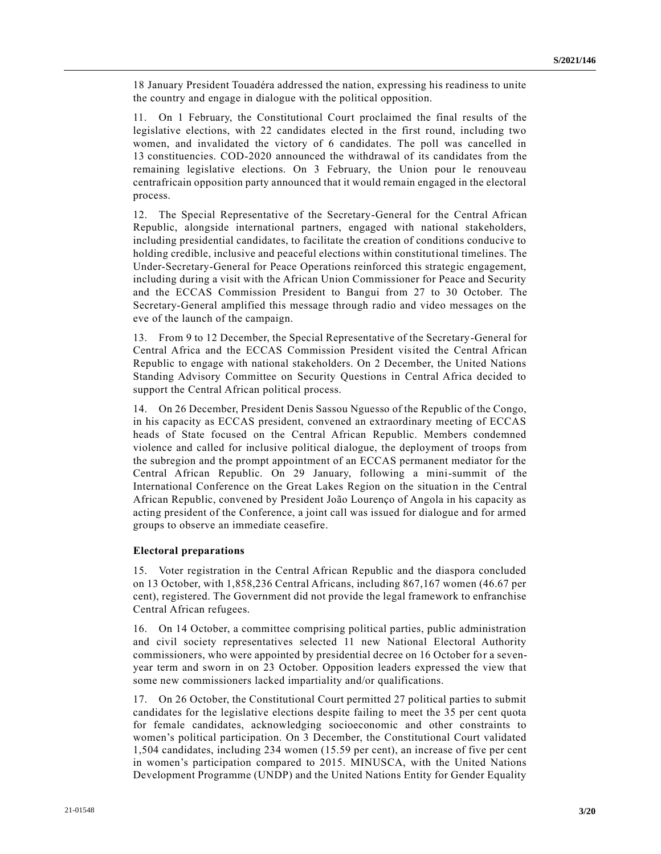18 January President Touadéra addressed the nation, expressing his readiness to unite the country and engage in dialogue with the political opposition.

11. On 1 February, the Constitutional Court proclaimed the final results of the legislative elections, with 22 candidates elected in the first round, including two women, and invalidated the victory of 6 candidates. The poll was cancelled in 13 constituencies. COD-2020 announced the withdrawal of its candidates from the remaining legislative elections. On 3 February, the Union pour le renouveau centrafricain opposition party announced that it would remain engaged in the electoral process.

12. The Special Representative of the Secretary-General for the Central African Republic, alongside international partners, engaged with national stakeholders, including presidential candidates, to facilitate the creation of conditions conducive to holding credible, inclusive and peaceful elections within constitutional timelines. The Under-Secretary-General for Peace Operations reinforced this strategic engagement, including during a visit with the African Union Commissioner for Peace and Security and the ECCAS Commission President to Bangui from 27 to 30 October. The Secretary-General amplified this message through radio and video messages on the eve of the launch of the campaign.

13. From 9 to 12 December, the Special Representative of the Secretary-General for Central Africa and the ECCAS Commission President visited the Central African Republic to engage with national stakeholders. On 2 December, the United Nations Standing Advisory Committee on Security Questions in Central Africa decided to support the Central African political process.

14. On 26 December, President Denis Sassou Nguesso of the Republic of the Congo, in his capacity as ECCAS president, convened an extraordinary meeting of ECCAS heads of State focused on the Central African Republic. Members condemned violence and called for inclusive political dialogue, the deployment of troops from the subregion and the prompt appointment of an ECCAS permanent mediator for the Central African Republic. On 29 January, following a mini-summit of the International Conference on the Great Lakes Region on the situation in the Central African Republic, convened by President João Lourenço of Angola in his capacity as acting president of the Conference, a joint call was issued for dialogue and for armed groups to observe an immediate ceasefire.

#### **Electoral preparations**

15. Voter registration in the Central African Republic and the diaspora concluded on 13 October, with 1,858,236 Central Africans, including 867,167 women (46.67 per cent), registered. The Government did not provide the legal framework to enfranchise Central African refugees.

16. On 14 October, a committee comprising political parties, public administration and civil society representatives selected 11 new National Electoral Authority commissioners, who were appointed by presidential decree on 16 October for a sevenyear term and sworn in on 23 October. Opposition leaders expressed the view that some new commissioners lacked impartiality and/or qualifications.

17. On 26 October, the Constitutional Court permitted 27 political parties to submit candidates for the legislative elections despite failing to meet the 35 per cent quota for female candidates, acknowledging socioeconomic and other constraints to women's political participation. On 3 December, the Constitutional Court validated 1,504 candidates, including 234 women (15.59 per cent), an increase of five per cent in women's participation compared to 2015. MINUSCA, with the United Nations Development Programme (UNDP) and the United Nations Entity for Gender Equality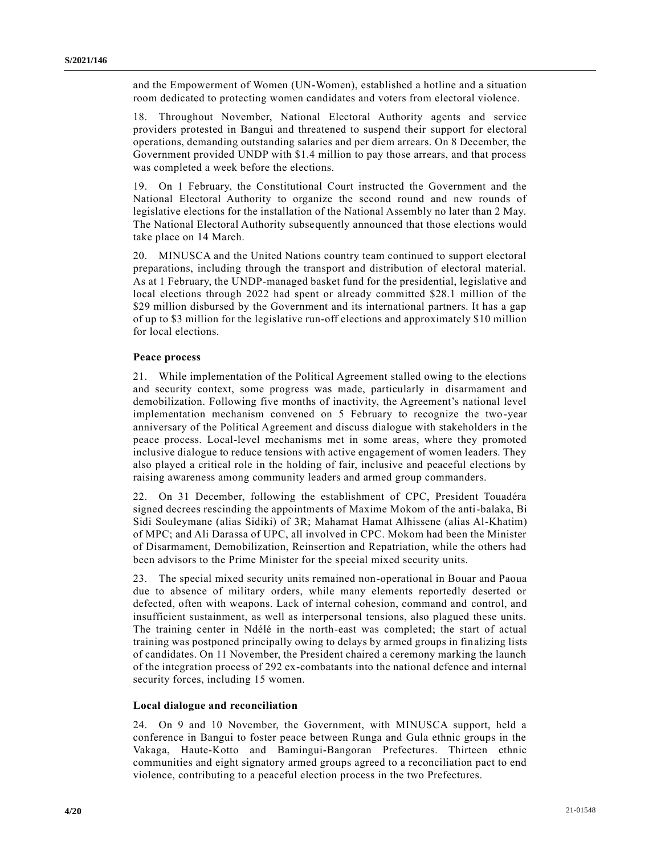and the Empowerment of Women (UN-Women), established a hotline and a situation room dedicated to protecting women candidates and voters from electoral violence.

18. Throughout November, National Electoral Authority agents and service providers protested in Bangui and threatened to suspend their support for electoral operations, demanding outstanding salaries and per diem arrears. On 8 December, the Government provided UNDP with \$1.4 million to pay those arrears, and that process was completed a week before the elections.

19. On 1 February, the Constitutional Court instructed the Government and the National Electoral Authority to organize the second round and new rounds of legislative elections for the installation of the National Assembly no later than 2 May. The National Electoral Authority subsequently announced that those elections would take place on 14 March.

20. MINUSCA and the United Nations country team continued to support electoral preparations, including through the transport and distribution of electoral material. As at 1 February, the UNDP-managed basket fund for the presidential, legislative and local elections through 2022 had spent or already committed \$28.1 million of the \$29 million disbursed by the Government and its international partners. It has a gap of up to \$3 million for the legislative run-off elections and approximately \$10 million for local elections.

### **Peace process**

21. While implementation of the Political Agreement stalled owing to the elections and security context, some progress was made, particularly in disarmament and demobilization. Following five months of inactivity, the Agreement's national level implementation mechanism convened on 5 February to recognize the two-year anniversary of the Political Agreement and discuss dialogue with stakeholders in t he peace process. Local-level mechanisms met in some areas, where they promoted inclusive dialogue to reduce tensions with active engagement of women leaders. They also played a critical role in the holding of fair, inclusive and peaceful elections by raising awareness among community leaders and armed group commanders.

22. On 31 December, following the establishment of CPC, President Touadéra signed decrees rescinding the appointments of Maxime Mokom of the anti-balaka, Bi Sidi Souleymane (alias Sidiki) of 3R; Mahamat Hamat Alhissene (alias Al-Khatim) of MPC; and Ali Darassa of UPC, all involved in CPC. Mokom had been the Minister of Disarmament, Demobilization, Reinsertion and Repatriation, while the others had been advisors to the Prime Minister for the special mixed security units.

23. The special mixed security units remained non-operational in Bouar and Paoua due to absence of military orders, while many elements reportedly deserted or defected, often with weapons. Lack of internal cohesion, command and control, and insufficient sustainment, as well as interpersonal tensions, also plagued these units. The training center in Ndélé in the north-east was completed; the start of actual training was postponed principally owing to delays by armed groups in finalizing lists of candidates. On 11 November, the President chaired a ceremony marking the launch of the integration process of 292 ex-combatants into the national defence and internal security forces, including 15 women.

#### **Local dialogue and reconciliation**

24. On 9 and 10 November, the Government, with MINUSCA support, held a conference in Bangui to foster peace between Runga and Gula ethnic groups in the Vakaga, Haute-Kotto and Bamingui-Bangoran Prefectures. Thirteen ethnic communities and eight signatory armed groups agreed to a reconciliation pact to end violence, contributing to a peaceful election process in the two Prefectures.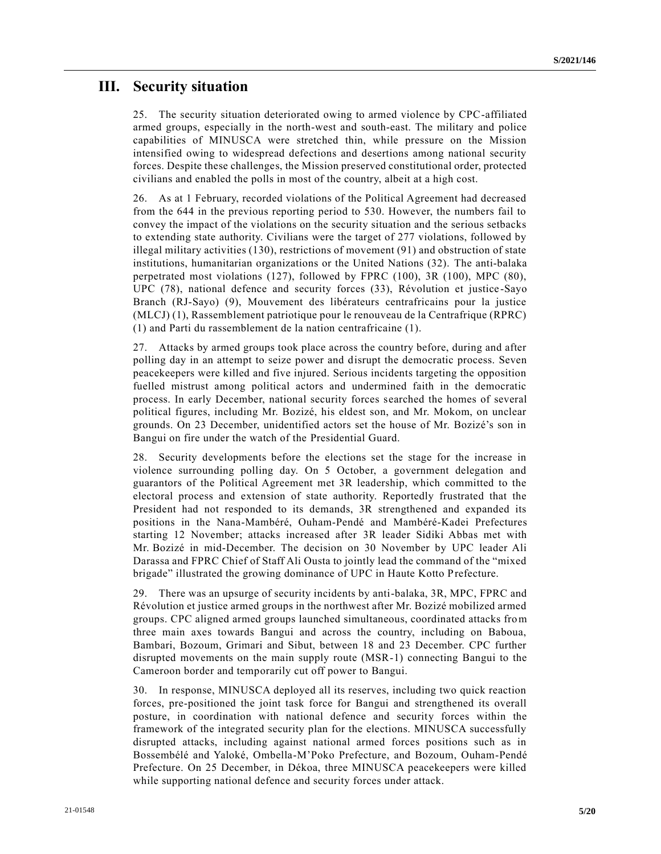## **III. Security situation**

25. The security situation deteriorated owing to armed violence by CPC-affiliated armed groups, especially in the north-west and south-east. The military and police capabilities of MINUSCA were stretched thin, while pressure on the Mission intensified owing to widespread defections and desertions among national security forces. Despite these challenges, the Mission preserved constitutional order, protected civilians and enabled the polls in most of the country, albeit at a high cost.

26. As at 1 February, recorded violations of the Political Agreement had decreased from the 644 in the previous reporting period to 530. However, the numbers fail to convey the impact of the violations on the security situation and the serious setbacks to extending state authority. Civilians were the target of 277 violations, followed by illegal military activities (130), restrictions of movement (91) and obstruction of state institutions, humanitarian organizations or the United Nations (32). The anti-balaka perpetrated most violations (127), followed by FPRC (100), 3R (100), MPC (80), UPC (78), national defence and security forces (33), Révolution et justice -Sayo Branch (RJ-Sayo) (9), Mouvement des libérateurs centrafricains pour la justice (MLCJ) (1), Rassemblement patriotique pour le renouveau de la Centrafrique (RPRC) (1) and Parti du rassemblement de la nation centrafricaine (1).

27. Attacks by armed groups took place across the country before, during and after polling day in an attempt to seize power and disrupt the democratic process. Seven peacekeepers were killed and five injured. Serious incidents targeting the opposition fuelled mistrust among political actors and undermined faith in the democratic process. In early December, national security forces searched the homes of several political figures, including Mr. Bozizé, his eldest son, and Mr. Mokom, on unclear grounds. On 23 December, unidentified actors set the house of Mr. Bozizé's son in Bangui on fire under the watch of the Presidential Guard.

28. Security developments before the elections set the stage for the increase in violence surrounding polling day. On 5 October, a government delegation and guarantors of the Political Agreement met 3R leadership, which committed to the electoral process and extension of state authority. Reportedly frustrated that the President had not responded to its demands, 3R strengthened and expanded its positions in the Nana-Mambéré, Ouham-Pendé and Mambéré-Kadei Prefectures starting 12 November; attacks increased after 3R leader Sidiki Abbas met with Mr. Bozizé in mid-December. The decision on 30 November by UPC leader Ali Darassa and FPRC Chief of Staff Ali Ousta to jointly lead the command of the "mixed brigade" illustrated the growing dominance of UPC in Haute Kotto Prefecture.

29. There was an upsurge of security incidents by anti-balaka, 3R, MPC, FPRC and Révolution et justice armed groups in the northwest after Mr. Bozizé mobilized armed groups. CPC aligned armed groups launched simultaneous, coordinated attacks from three main axes towards Bangui and across the country, including on Baboua, Bambari, Bozoum, Grimari and Sibut, between 18 and 23 December. CPC further disrupted movements on the main supply route (MSR-1) connecting Bangui to the Cameroon border and temporarily cut off power to Bangui.

30. In response, MINUSCA deployed all its reserves, including two quick reaction forces, pre-positioned the joint task force for Bangui and strengthened its overall posture, in coordination with national defence and security forces within the framework of the integrated security plan for the elections. MINUSCA successfully disrupted attacks, including against national armed forces positions such as in Bossembélé and Yaloké, Ombella-M'Poko Prefecture, and Bozoum, Ouham-Pendé Prefecture. On 25 December, in Dékoa, three MINUSCA peacekeepers were killed while supporting national defence and security forces under attack.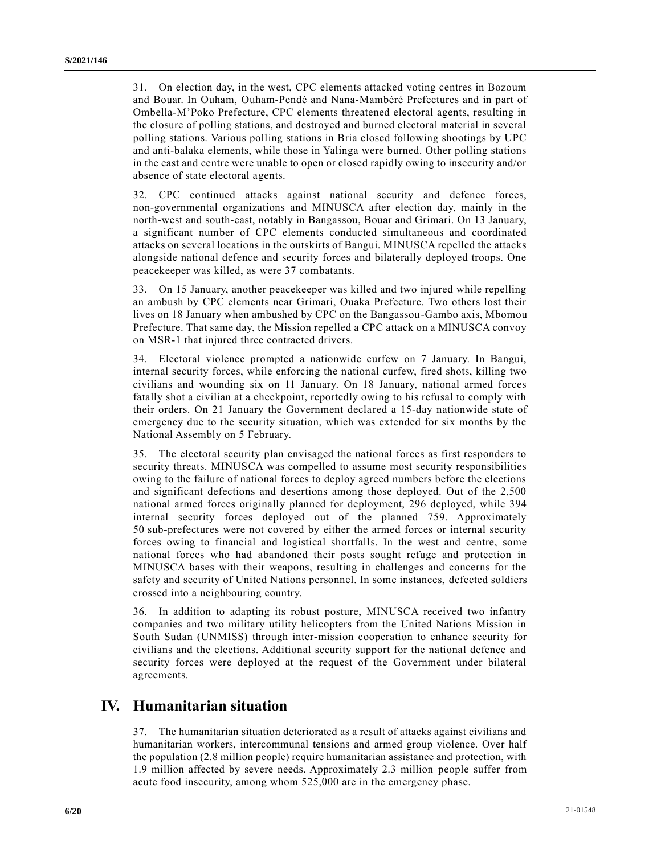31. On election day, in the west, CPC elements attacked voting centres in Bozoum and Bouar. In Ouham, Ouham-Pendé and Nana-Mambéré Prefectures and in part of Ombella-M'Poko Prefecture, CPC elements threatened electoral agents, resulting in the closure of polling stations, and destroyed and burned electoral material in several polling stations. Various polling stations in Bria closed following shootings by UPC and anti-balaka elements, while those in Yalinga were burned. Other polling stations in the east and centre were unable to open or closed rapidly owing to insecurity and/or absence of state electoral agents.

32. CPC continued attacks against national security and defence forces, non-governmental organizations and MINUSCA after election day, mainly in the north-west and south-east, notably in Bangassou, Bouar and Grimari. On 13 January, a significant number of CPC elements conducted simultaneous and coordinated attacks on several locations in the outskirts of Bangui. MINUSCA repelled the attacks alongside national defence and security forces and bilaterally deployed troops. One peacekeeper was killed, as were 37 combatants.

33. On 15 January, another peacekeeper was killed and two injured while repelling an ambush by CPC elements near Grimari, Ouaka Prefecture. Two others lost their lives on 18 January when ambushed by CPC on the Bangassou-Gambo axis, Mbomou Prefecture. That same day, the Mission repelled a CPC attack on a MINUSCA convoy on MSR-1 that injured three contracted drivers.

34. Electoral violence prompted a nationwide curfew on 7 January. In Bangui, internal security forces, while enforcing the national curfew, fired shots, killing two civilians and wounding six on 11 January. On 18 January, national armed forces fatally shot a civilian at a checkpoint, reportedly owing to his refusal to comply with their orders. On 21 January the Government declared a 15-day nationwide state of emergency due to the security situation, which was extended for six months by the National Assembly on 5 February.

35. The electoral security plan envisaged the national forces as first responders to security threats. MINUSCA was compelled to assume most security responsibilities owing to the failure of national forces to deploy agreed numbers before the elections and significant defections and desertions among those deployed. Out of the 2,500 national armed forces originally planned for deployment, 296 deployed, while 394 internal security forces deployed out of the planned 759. Approximately 50 sub-prefectures were not covered by either the armed forces or internal security forces owing to financial and logistical shortfalls. In the west and centre, some national forces who had abandoned their posts sought refuge and protection in MINUSCA bases with their weapons, resulting in challenges and concerns for the safety and security of United Nations personnel. In some instances, defected soldiers crossed into a neighbouring country.

36. In addition to adapting its robust posture, MINUSCA received two infantry companies and two military utility helicopters from the United Nations Mission in South Sudan (UNMISS) through inter-mission cooperation to enhance security for civilians and the elections. Additional security support for the national defence and security forces were deployed at the request of the Government under bilateral agreements.

## **IV. Humanitarian situation**

37. The humanitarian situation deteriorated as a result of attacks against civilians and humanitarian workers, intercommunal tensions and armed group violence. Over half the population (2.8 million people) require humanitarian assistance and protection, with 1.9 million affected by severe needs. Approximately 2.3 million people suffer from acute food insecurity, among whom 525,000 are in the emergency phase.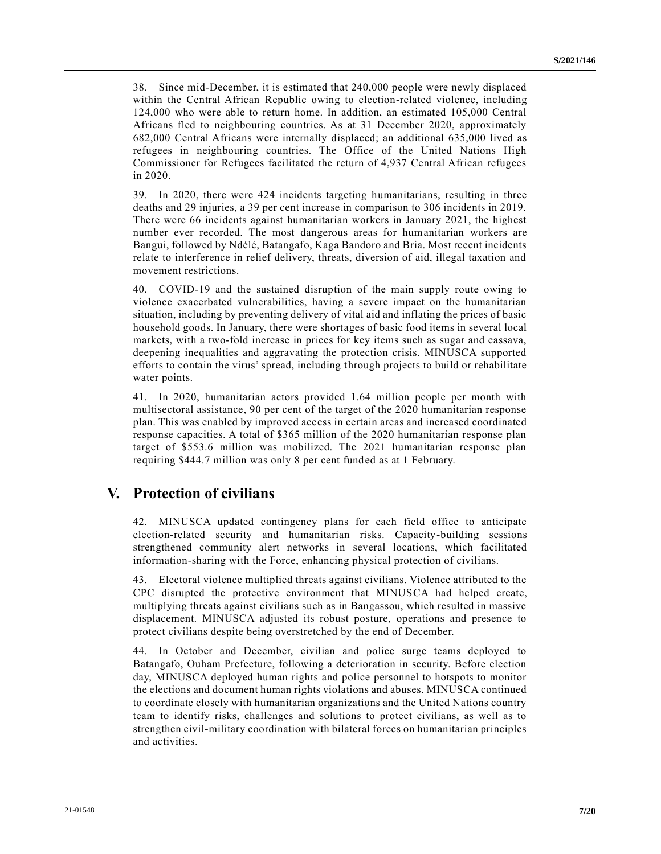38. Since mid-December, it is estimated that 240,000 people were newly displaced within the Central African Republic owing to election-related violence, including 124,000 who were able to return home. In addition, an estimated 105,000 Central Africans fled to neighbouring countries. As at 31 December 2020, approximately 682,000 Central Africans were internally displaced; an additional 635,000 lived as refugees in neighbouring countries. The Office of the United Nations High Commissioner for Refugees facilitated the return of 4,937 Central African refugees in 2020.

39. In 2020, there were 424 incidents targeting humanitarians, resulting in three deaths and 29 injuries, a 39 per cent increase in comparison to 306 incidents in 2019. There were 66 incidents against humanitarian workers in January 2021, the highest number ever recorded. The most dangerous areas for humanitarian workers are Bangui, followed by Ndélé, Batangafo, Kaga Bandoro and Bria. Most recent incidents relate to interference in relief delivery, threats, diversion of aid, illegal taxation and movement restrictions.

40. COVID-19 and the sustained disruption of the main supply route owing to violence exacerbated vulnerabilities, having a severe impact on the humanitarian situation, including by preventing delivery of vital aid and inflating the prices of basic household goods. In January, there were shortages of basic food items in several local markets, with a two-fold increase in prices for key items such as sugar and cassava, deepening inequalities and aggravating the protection crisis. MINUSCA supported efforts to contain the virus' spread, including through projects to build or rehabilitate water points.

41. In 2020, humanitarian actors provided 1.64 million people per month with multisectoral assistance, 90 per cent of the target of the 2020 humanitarian response plan. This was enabled by improved access in certain areas and increased coordinated response capacities. A total of \$365 million of the 2020 humanitarian response plan target of \$553.6 million was mobilized. The 2021 humanitarian response plan requiring \$444.7 million was only 8 per cent funded as at 1 February.

## **V. Protection of civilians**

42. MINUSCA updated contingency plans for each field office to anticipate election-related security and humanitarian risks. Capacity-building sessions strengthened community alert networks in several locations, which facilitated information-sharing with the Force, enhancing physical protection of civilians.

43. Electoral violence multiplied threats against civilians. Violence attributed to the CPC disrupted the protective environment that MINUSCA had helped create, multiplying threats against civilians such as in Bangassou, which resulted in massive displacement. MINUSCA adjusted its robust posture, operations and presence to protect civilians despite being overstretched by the end of December.

44. In October and December, civilian and police surge teams deployed to Batangafo, Ouham Prefecture, following a deterioration in security. Before election day, MINUSCA deployed human rights and police personnel to hotspots to monitor the elections and document human rights violations and abuses. MINUSCA continued to coordinate closely with humanitarian organizations and the United Nations country team to identify risks, challenges and solutions to protect civilians, as well as to strengthen civil-military coordination with bilateral forces on humanitarian principles and activities.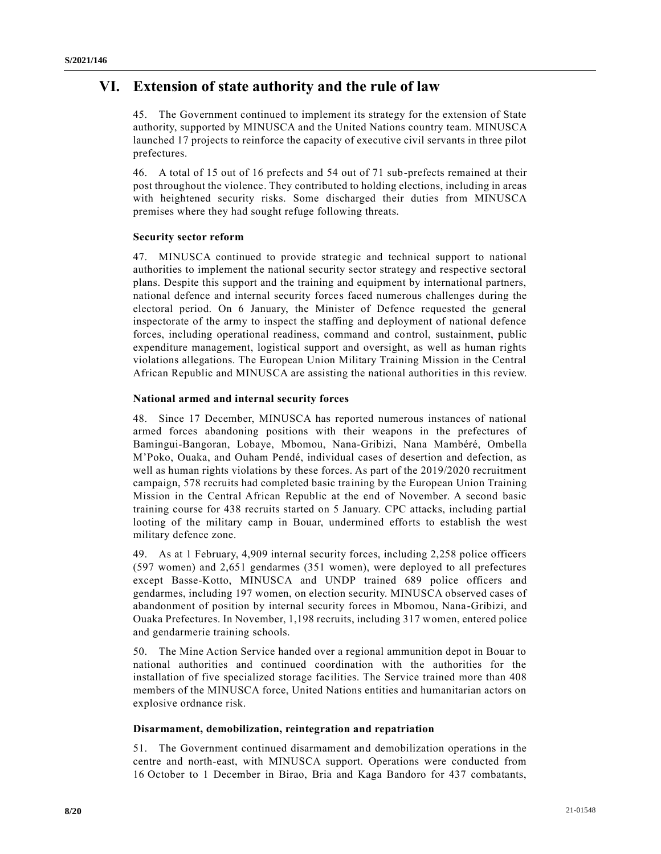# **VI. Extension of state authority and the rule of law**

45. The Government continued to implement its strategy for the extension of State authority, supported by MINUSCA and the United Nations country team. MINUSCA launched 17 projects to reinforce the capacity of executive civil servants in three pilot prefectures.

46. A total of 15 out of 16 prefects and 54 out of 71 sub-prefects remained at their post throughout the violence. They contributed to holding elections, including in areas with heightened security risks. Some discharged their duties from MINUSCA premises where they had sought refuge following threats.

### **Security sector reform**

47. MINUSCA continued to provide strategic and technical support to national authorities to implement the national security sector strategy and respective sectoral plans. Despite this support and the training and equipment by international partners, national defence and internal security forces faced numerous challenges during the electoral period. On 6 January, the Minister of Defence requested the general inspectorate of the army to inspect the staffing and deployment of national defence forces, including operational readiness, command and control, sustainment, public expenditure management, logistical support and oversight, as well as human rights violations allegations. The European Union Military Training Mission in the Central African Republic and MINUSCA are assisting the national authorities in this review.

### **National armed and internal security forces**

48. Since 17 December, MINUSCA has reported numerous instances of national armed forces abandoning positions with their weapons in the prefectures of Bamingui-Bangoran, Lobaye, Mbomou, Nana-Gribizi, Nana Mambéré, Ombella M'Poko, Ouaka, and Ouham Pendé, individual cases of desertion and defection, as well as human rights violations by these forces. As part of the 2019/2020 recruitment campaign, 578 recruits had completed basic training by the European Union Training Mission in the Central African Republic at the end of November. A second basic training course for 438 recruits started on 5 January. CPC attacks, including partial looting of the military camp in Bouar, undermined efforts to establish the west military defence zone.

49. As at 1 February, 4,909 internal security forces, including 2,258 police officers (597 women) and 2,651 gendarmes (351 women), were deployed to all prefectures except Basse-Kotto, MINUSCA and UNDP trained 689 police officers and gendarmes, including 197 women, on election security. MINUSCA observed cases of abandonment of position by internal security forces in Mbomou, Nana-Gribizi, and Ouaka Prefectures. In November, 1,198 recruits, including 317 women, entered police and gendarmerie training schools.

50. The Mine Action Service handed over a regional ammunition depot in Bouar to national authorities and continued coordination with the authorities for the installation of five specialized storage facilities. The Service trained more than 408 members of the MINUSCA force, United Nations entities and humanitarian actors on explosive ordnance risk.

### **Disarmament, demobilization, reintegration and repatriation**

51. The Government continued disarmament and demobilization operations in the centre and north-east, with MINUSCA support. Operations were conducted from 16 October to 1 December in Birao, Bria and Kaga Bandoro for 437 combatants,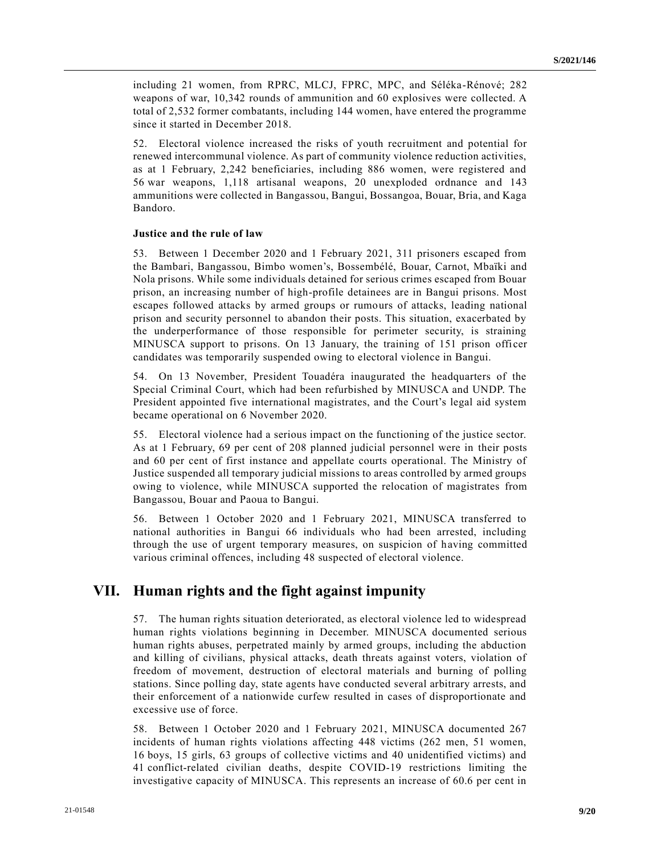including 21 women, from RPRC, MLCJ, FPRC, MPC, and Séléka-Rénové; 282 weapons of war, 10,342 rounds of ammunition and 60 explosives were collected. A total of 2,532 former combatants, including 144 women, have entered the programme since it started in December 2018.

52. Electoral violence increased the risks of youth recruitment and potential for renewed intercommunal violence. As part of community violence reduction activities, as at 1 February, 2,242 beneficiaries, including 886 women, were registered and 56 war weapons, 1,118 artisanal weapons, 20 unexploded ordnance and 143 ammunitions were collected in Bangassou, Bangui, Bossangoa, Bouar, Bria, and Kaga Bandoro.

#### **Justice and the rule of law**

53. Between 1 December 2020 and 1 February 2021, 311 prisoners escaped from the Bambari, Bangassou, Bimbo women's, Bossembélé, Bouar, Carnot, Mbaïki and Nola prisons. While some individuals detained for serious crimes escaped from Bouar prison, an increasing number of high-profile detainees are in Bangui prisons. Most escapes followed attacks by armed groups or rumours of attacks, leading national prison and security personnel to abandon their posts. This situation, exacerbated by the underperformance of those responsible for perimeter security, is straining MINUSCA support to prisons. On 13 January, the training of 151 prison offi cer candidates was temporarily suspended owing to electoral violence in Bangui.

54. On 13 November, President Touadéra inaugurated the headquarters of the Special Criminal Court, which had been refurbished by MINUSCA and UNDP. The President appointed five international magistrates, and the Court's legal aid system became operational on 6 November 2020.

55. Electoral violence had a serious impact on the functioning of the justice sector. As at 1 February, 69 per cent of 208 planned judicial personnel were in their posts and 60 per cent of first instance and appellate courts operational. The Ministry of Justice suspended all temporary judicial missions to areas controlled by armed groups owing to violence, while MINUSCA supported the relocation of magistrates from Bangassou, Bouar and Paoua to Bangui.

56. Between 1 October 2020 and 1 February 2021, MINUSCA transferred to national authorities in Bangui 66 individuals who had been arrested, including through the use of urgent temporary measures, on suspicion of having committed various criminal offences, including 48 suspected of electoral violence.

### **VII. Human rights and the fight against impunity**

57. The human rights situation deteriorated, as electoral violence led to widespread human rights violations beginning in December. MINUSCA documented serious human rights abuses, perpetrated mainly by armed groups, including the abduction and killing of civilians, physical attacks, death threats against voters, violation of freedom of movement, destruction of electoral materials and burning of polling stations. Since polling day, state agents have conducted several arbitrary arrests, and their enforcement of a nationwide curfew resulted in cases of disproportionate and excessive use of force.

58. Between 1 October 2020 and 1 February 2021, MINUSCA documented 267 incidents of human rights violations affecting 448 victims (262 men, 51 women, 16 boys, 15 girls, 63 groups of collective victims and 40 unidentified victims) and 41 conflict-related civilian deaths, despite COVID-19 restrictions limiting the investigative capacity of MINUSCA. This represents an increase of 60.6 per cent in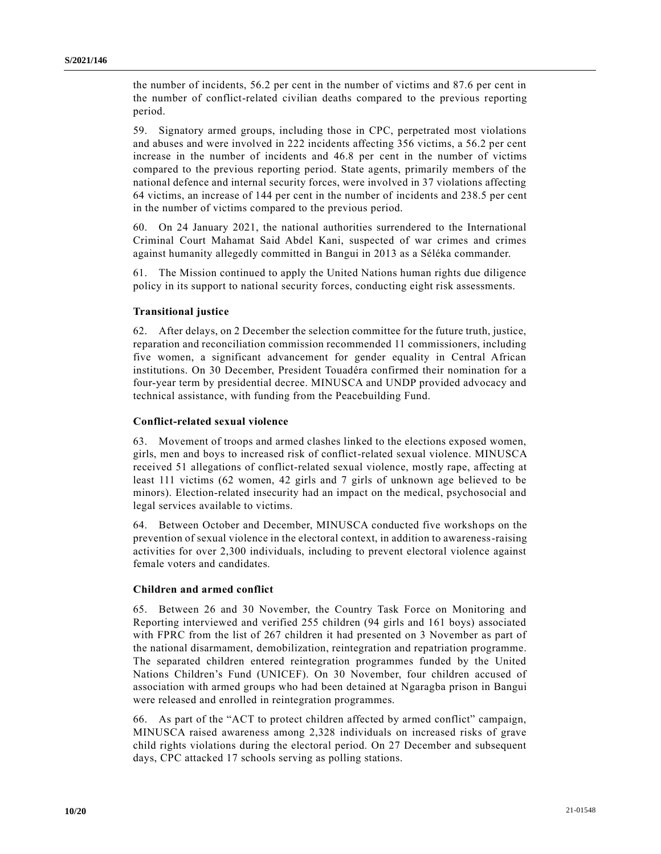the number of incidents, 56.2 per cent in the number of victims and 87.6 per cent in the number of conflict-related civilian deaths compared to the previous reporting period.

59. Signatory armed groups, including those in CPC, perpetrated most violations and abuses and were involved in 222 incidents affecting 356 victims, a 56.2 per cent increase in the number of incidents and 46.8 per cent in the number of victims compared to the previous reporting period. State agents, primarily members of the national defence and internal security forces, were involved in 37 violations affecting 64 victims, an increase of 144 per cent in the number of incidents and 238.5 per cent in the number of victims compared to the previous period.

60. On 24 January 2021, the national authorities surrendered to the International Criminal Court Mahamat Said Abdel Kani, suspected of war crimes and crimes against humanity allegedly committed in Bangui in 2013 as a Séléka commander.

61. The Mission continued to apply the United Nations human rights due diligence policy in its support to national security forces, conducting eight risk assessments.

### **Transitional justice**

62. After delays, on 2 December the selection committee for the future truth, justice, reparation and reconciliation commission recommended 11 commissioners, including five women, a significant advancement for gender equality in Central African institutions. On 30 December, President Touadéra confirmed their nomination for a four-year term by presidential decree. MINUSCA and UNDP provided advocacy and technical assistance, with funding from the Peacebuilding Fund.

### **Conflict-related sexual violence**

63. Movement of troops and armed clashes linked to the elections exposed women, girls, men and boys to increased risk of conflict-related sexual violence. MINUSCA received 51 allegations of conflict-related sexual violence, mostly rape, affecting at least 111 victims (62 women, 42 girls and 7 girls of unknown age believed to be minors). Election-related insecurity had an impact on the medical, psychosocial and legal services available to victims.

64. Between October and December, MINUSCA conducted five workshops on the prevention of sexual violence in the electoral context, in addition to awareness-raising activities for over 2,300 individuals, including to prevent electoral violence against female voters and candidates.

#### **Children and armed conflict**

65. Between 26 and 30 November, the Country Task Force on Monitoring and Reporting interviewed and verified 255 children (94 girls and 161 boys) associated with FPRC from the list of 267 children it had presented on 3 November as part of the national disarmament, demobilization, reintegration and repatriation programme. The separated children entered reintegration programmes funded by the United Nations Children's Fund (UNICEF). On 30 November, four children accused of association with armed groups who had been detained at Ngaragba prison in Bangui were released and enrolled in reintegration programmes.

66. As part of the "ACT to protect children affected by armed conflict" campaign, MINUSCA raised awareness among 2,328 individuals on increased risks of grave child rights violations during the electoral period. On 27 December and subsequent days, CPC attacked 17 schools serving as polling stations.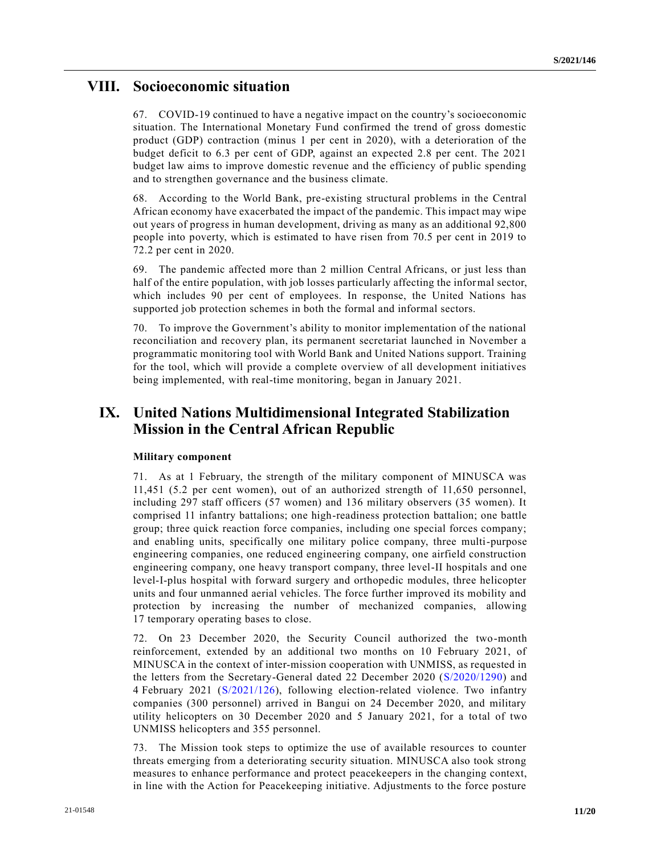## **VIII. Socioeconomic situation**

67. COVID-19 continued to have a negative impact on the country's socioeconomic situation. The International Monetary Fund confirmed the trend of gross domestic product (GDP) contraction (minus 1 per cent in 2020), with a deterioration of the budget deficit to 6.3 per cent of GDP, against an expected 2.8 per cent. The 2021 budget law aims to improve domestic revenue and the efficiency of public spending and to strengthen governance and the business climate.

68. According to the World Bank, pre-existing structural problems in the Central African economy have exacerbated the impact of the pandemic. This impact may wipe out years of progress in human development, driving as many as an additional 92,800 people into poverty, which is estimated to have risen from 70.5 per cent in 2019 to 72.2 per cent in 2020.

69. The pandemic affected more than 2 million Central Africans, or just less than half of the entire population, with job losses particularly affecting the informal sector, which includes 90 per cent of employees. In response, the United Nations has supported job protection schemes in both the formal and informal sectors.

70. To improve the Government's ability to monitor implementation of the national reconciliation and recovery plan, its permanent secretariat launched in November a programmatic monitoring tool with World Bank and United Nations support. Training for the tool, which will provide a complete overview of all development initiatives being implemented, with real-time monitoring, began in January 2021.

# **IX. United Nations Multidimensional Integrated Stabilization Mission in the Central African Republic**

### **Military component**

71. As at 1 February, the strength of the military component of MINUSCA was 11,451 (5.2 per cent women), out of an authorized strength of 11,650 personnel, including 297 staff officers (57 women) and 136 military observers (35 women). It comprised 11 infantry battalions; one high-readiness protection battalion; one battle group; three quick reaction force companies, including one special forces company; and enabling units, specifically one military police company, three multi-purpose engineering companies, one reduced engineering company, one airfield construction engineering company, one heavy transport company, three level-II hospitals and one level-I-plus hospital with forward surgery and orthopedic modules, three helicopter units and four unmanned aerial vehicles. The force further improved its mobility and protection by increasing the number of mechanized companies, allowing 17 temporary operating bases to close.

72. On 23 December 2020, the Security Council authorized the two-month reinforcement, extended by an additional two months on 10 February 2021, of MINUSCA in the context of inter-mission cooperation with UNMISS, as requested in the letters from the Secretary-General dated 22 December 2020 [\(S/2020/1290\)](https://undocs.org/en/S/2020/1290) and 4 February 2021 [\(S/2021/126\)](https://undocs.org/en/S/2021/126), following election-related violence. Two infantry companies (300 personnel) arrived in Bangui on 24 December 2020, and military utility helicopters on 30 December 2020 and 5 January 2021, for a total of two UNMISS helicopters and 355 personnel.

73. The Mission took steps to optimize the use of available resources to counter threats emerging from a deteriorating security situation. MINUSCA also took strong measures to enhance performance and protect peacekeepers in the changing context, in line with the Action for Peacekeeping initiative. Adjustments to the force posture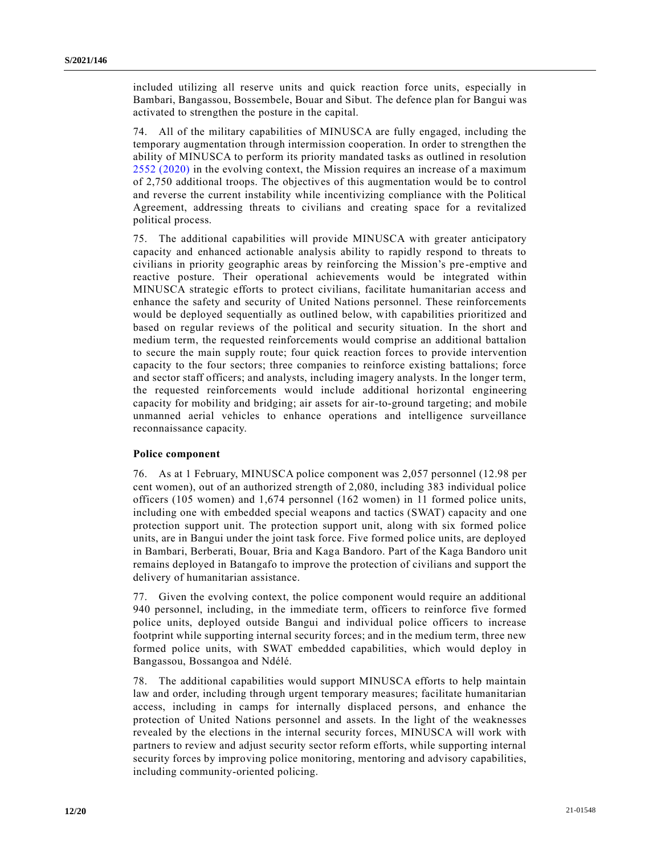included utilizing all reserve units and quick reaction force units, especially in Bambari, Bangassou, Bossembele, Bouar and Sibut. The defence plan for Bangui was activated to strengthen the posture in the capital.

74. All of the military capabilities of MINUSCA are fully engaged, including the temporary augmentation through intermission cooperation. In order to strengthen the ability of MINUSCA to perform its priority mandated tasks as outlined in resolution [2552 \(2020\)](https://undocs.org/en/S/RES/2552(2020)) in the evolving context, the Mission requires an increase of a maximum of 2,750 additional troops. The objectives of this augmentation would be to control and reverse the current instability while incentivizing compliance with the Political Agreement, addressing threats to civilians and creating space for a revitalized political process.

75. The additional capabilities will provide MINUSCA with greater anticipatory capacity and enhanced actionable analysis ability to rapidly respond to threats to civilians in priority geographic areas by reinforcing the Mission's pre -emptive and reactive posture. Their operational achievements would be integrated within MINUSCA strategic efforts to protect civilians, facilitate humanitarian access and enhance the safety and security of United Nations personnel. These reinforcements would be deployed sequentially as outlined below, with capabilities prioritized and based on regular reviews of the political and security situation. In the short and medium term, the requested reinforcements would comprise an additional battalion to secure the main supply route; four quick reaction forces to provide intervention capacity to the four sectors; three companies to reinforce existing battalions; force and sector staff officers; and analysts, including imagery analysts. In the longer term, the requested reinforcements would include additional horizontal engineering capacity for mobility and bridging; air assets for air-to-ground targeting; and mobile unmanned aerial vehicles to enhance operations and intelligence surveillance reconnaissance capacity.

#### **Police component**

76. As at 1 February, MINUSCA police component was 2,057 personnel (12.98 per cent women), out of an authorized strength of 2,080, including 383 individual police officers (105 women) and 1,674 personnel (162 women) in 11 formed police units, including one with embedded special weapons and tactics (SWAT) capacity and one protection support unit. The protection support unit, along with six formed police units, are in Bangui under the joint task force. Five formed police units, are deployed in Bambari, Berberati, Bouar, Bria and Kaga Bandoro. Part of the Kaga Bandoro unit remains deployed in Batangafo to improve the protection of civilians and support the delivery of humanitarian assistance.

77. Given the evolving context, the police component would require an additional 940 personnel, including, in the immediate term, officers to reinforce five formed police units, deployed outside Bangui and individual police officers to increase footprint while supporting internal security forces; and in the medium term, three new formed police units, with SWAT embedded capabilities, which would deploy in Bangassou, Bossangoa and Ndélé.

78. The additional capabilities would support MINUSCA efforts to help maintain law and order, including through urgent temporary measures; facilitate humanitarian access, including in camps for internally displaced persons, and enhance the protection of United Nations personnel and assets. In the light of the weaknesses revealed by the elections in the internal security forces, MINUSCA will work with partners to review and adjust security sector reform efforts, while supporting internal security forces by improving police monitoring, mentoring and advisory capabilities, including community-oriented policing.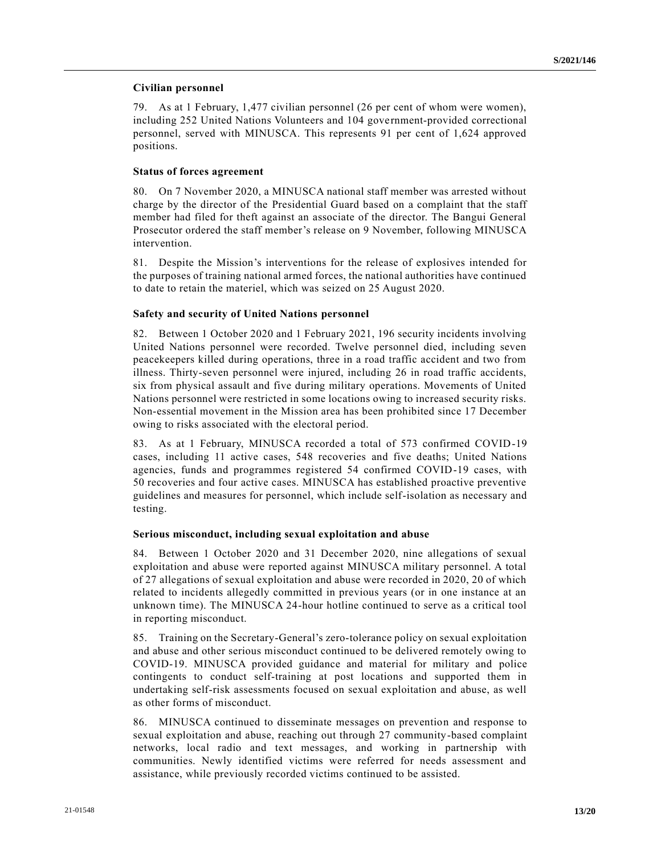### **Civilian personnel**

79. As at 1 February, 1,477 civilian personnel (26 per cent of whom were women), including 252 United Nations Volunteers and 104 government-provided correctional personnel, served with MINUSCA. This represents 91 per cent of 1,624 approved positions.

### **Status of forces agreement**

80. On 7 November 2020, a MINUSCA national staff member was arrested without charge by the director of the Presidential Guard based on a complaint that the staff member had filed for theft against an associate of the director. The Bangui General Prosecutor ordered the staff member's release on 9 November, following MINUSCA intervention.

81. Despite the Mission's interventions for the release of explosives intended for the purposes of training national armed forces, the national authorities have continued to date to retain the materiel, which was seized on 25 August 2020.

### **Safety and security of United Nations personnel**

82. Between 1 October 2020 and 1 February 2021, 196 security incidents involving United Nations personnel were recorded. Twelve personnel died, including seven peacekeepers killed during operations, three in a road traffic accident and two from illness. Thirty-seven personnel were injured, including 26 in road traffic accidents, six from physical assault and five during military operations. Movements of United Nations personnel were restricted in some locations owing to increased security risks. Non-essential movement in the Mission area has been prohibited since 17 December owing to risks associated with the electoral period.

83. As at 1 February, MINUSCA recorded a total of 573 confirmed COVID-19 cases, including 11 active cases, 548 recoveries and five deaths; United Nations agencies, funds and programmes registered 54 confirmed COVID-19 cases, with 50 recoveries and four active cases. MINUSCA has established proactive preventive guidelines and measures for personnel, which include self-isolation as necessary and testing.

### **Serious misconduct, including sexual exploitation and abuse**

84. Between 1 October 2020 and 31 December 2020, nine allegations of sexual exploitation and abuse were reported against MINUSCA military personnel. A total of 27 allegations of sexual exploitation and abuse were recorded in 2020, 20 of which related to incidents allegedly committed in previous years (or in one instance at an unknown time). The MINUSCA 24-hour hotline continued to serve as a critical tool in reporting misconduct.

85. Training on the Secretary-General's zero-tolerance policy on sexual exploitation and abuse and other serious misconduct continued to be delivered remotely owing to COVID-19. MINUSCA provided guidance and material for military and police contingents to conduct self-training at post locations and supported them in undertaking self-risk assessments focused on sexual exploitation and abuse, as well as other forms of misconduct.

86. MINUSCA continued to disseminate messages on prevention and response to sexual exploitation and abuse, reaching out through 27 community-based complaint networks, local radio and text messages, and working in partnership with communities. Newly identified victims were referred for needs assessment and assistance, while previously recorded victims continued to be assisted.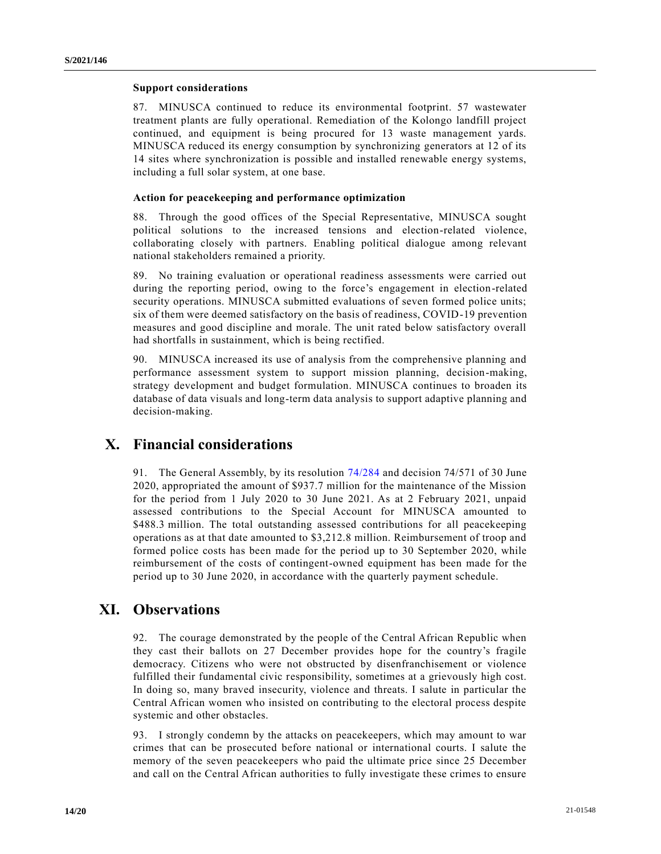#### **Support considerations**

87. MINUSCA continued to reduce its environmental footprint. 57 wastewater treatment plants are fully operational. Remediation of the Kolongo landfill project continued, and equipment is being procured for 13 waste management yards. MINUSCA reduced its energy consumption by synchronizing generators at 12 of its 14 sites where synchronization is possible and installed renewable energy systems, including a full solar system, at one base.

### **Action for peacekeeping and performance optimization**

88. Through the good offices of the Special Representative, MINUSCA sought political solutions to the increased tensions and election-related violence, collaborating closely with partners. Enabling political dialogue among relevant national stakeholders remained a priority.

89. No training evaluation or operational readiness assessments were carried out during the reporting period, owing to the force's engagement in election-related security operations. MINUSCA submitted evaluations of seven formed police units; six of them were deemed satisfactory on the basis of readiness, COVID-19 prevention measures and good discipline and morale. The unit rated below satisfactory overall had shortfalls in sustainment, which is being rectified.

90. MINUSCA increased its use of analysis from the comprehensive planning and performance assessment system to support mission planning, decision-making, strategy development and budget formulation. MINUSCA continues to broaden its database of data visuals and long-term data analysis to support adaptive planning and decision-making.

# **X. Financial considerations**

91. The General Assembly, by its resolution [74/284](https://undocs.org/en/A/RES/74/284) and decision 74/571 of 30 June 2020, appropriated the amount of \$937.7 million for the maintenance of the Mission for the period from 1 July 2020 to 30 June 2021. As at 2 February 2021, unpaid assessed contributions to the Special Account for MINUSCA amounted to \$488.3 million. The total outstanding assessed contributions for all peacekeeping operations as at that date amounted to \$3,212.8 million. Reimbursement of troop and formed police costs has been made for the period up to 30 September 2020, while reimbursement of the costs of contingent-owned equipment has been made for the period up to 30 June 2020, in accordance with the quarterly payment schedule.

# **XI. Observations**

92. The courage demonstrated by the people of the Central African Republic when they cast their ballots on 27 December provides hope for the country's fragile democracy. Citizens who were not obstructed by disenfranchisement or violence fulfilled their fundamental civic responsibility, sometimes at a grievously high cost. In doing so, many braved insecurity, violence and threats. I salute in particular the Central African women who insisted on contributing to the electoral process despite systemic and other obstacles.

93. I strongly condemn by the attacks on peacekeepers, which may amount to war crimes that can be prosecuted before national or international courts. I salute the memory of the seven peacekeepers who paid the ultimate price since 25 December and call on the Central African authorities to fully investigate these crimes to ensure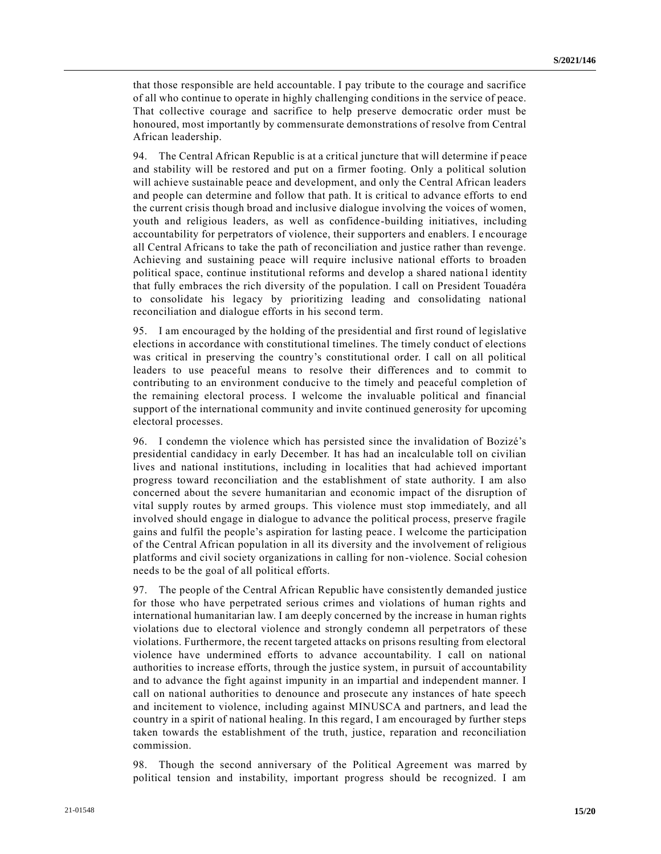that those responsible are held accountable. I pay tribute to the courage and sacrifice of all who continue to operate in highly challenging conditions in the service of peace. That collective courage and sacrifice to help preserve democratic order must be honoured, most importantly by commensurate demonstrations of resolve from Central African leadership.

94. The Central African Republic is at a critical juncture that will determine if peace and stability will be restored and put on a firmer footing. Only a political solution will achieve sustainable peace and development, and only the Central African leaders and people can determine and follow that path. It is critical to advance efforts to end the current crisis though broad and inclusive dialogue involving the voices of women, youth and religious leaders, as well as confidence-building initiatives, including accountability for perpetrators of violence, their supporters and enablers. I e ncourage all Central Africans to take the path of reconciliation and justice rather than revenge. Achieving and sustaining peace will require inclusive national efforts to broaden political space, continue institutional reforms and develop a shared nationa l identity that fully embraces the rich diversity of the population. I call on President Touadéra to consolidate his legacy by prioritizing leading and consolidating national reconciliation and dialogue efforts in his second term.

95. I am encouraged by the holding of the presidential and first round of legislative elections in accordance with constitutional timelines. The timely conduct of elections was critical in preserving the country's constitutional order. I call on all political leaders to use peaceful means to resolve their differences and to commit to contributing to an environment conducive to the timely and peaceful completion of the remaining electoral process. I welcome the invaluable political and financial support of the international community and invite continued generosity for upcoming electoral processes.

96. I condemn the violence which has persisted since the invalidation of Bozizé's presidential candidacy in early December. It has had an incalculable toll on civilian lives and national institutions, including in localities that had achieved important progress toward reconciliation and the establishment of state authority. I am also concerned about the severe humanitarian and economic impact of the disruption of vital supply routes by armed groups. This violence must stop immediately, and all involved should engage in dialogue to advance the political process, preserve fragile gains and fulfil the people's aspiration for lasting peace. I welcome the participation of the Central African population in all its diversity and the involvement of religious platforms and civil society organizations in calling for non-violence. Social cohesion needs to be the goal of all political efforts.

97. The people of the Central African Republic have consistently demanded justice for those who have perpetrated serious crimes and violations of human rights and international humanitarian law. I am deeply concerned by the increase in human rights violations due to electoral violence and strongly condemn all perpetrators of these violations. Furthermore, the recent targeted attacks on prisons resulting from electoral violence have undermined efforts to advance accountability. I call on national authorities to increase efforts, through the justice system, in pursuit of accountability and to advance the fight against impunity in an impartial and independent manner. I call on national authorities to denounce and prosecute any instances of hate speech and incitement to violence, including against MINUSCA and partners, and lead the country in a spirit of national healing. In this regard, I am encouraged by further steps taken towards the establishment of the truth, justice, reparation and reconciliation commission.

98. Though the second anniversary of the Political Agreement was marred by political tension and instability, important progress should be recognized. I am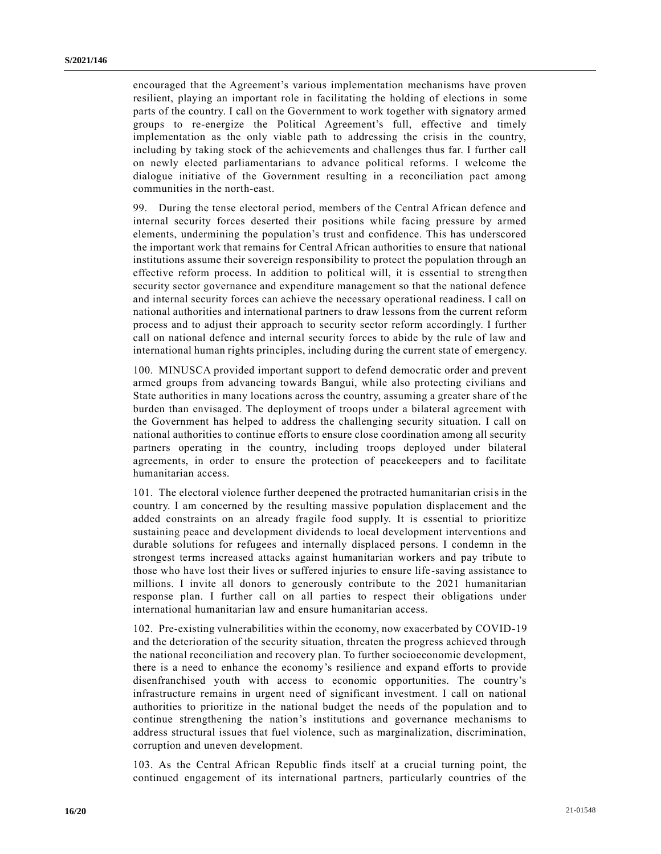encouraged that the Agreement's various implementation mechanisms have proven resilient, playing an important role in facilitating the holding of elections in some parts of the country. I call on the Government to work together with signatory armed groups to re-energize the Political Agreement's full, effective and timely implementation as the only viable path to addressing the crisis in the country, including by taking stock of the achievements and challenges thus far. I further call on newly elected parliamentarians to advance political reforms. I welcome the dialogue initiative of the Government resulting in a reconciliation pact among communities in the north-east.

99. During the tense electoral period, members of the Central African defence and internal security forces deserted their positions while facing pressure by armed elements, undermining the population's trust and confidence. This has underscored the important work that remains for Central African authorities to ensure that national institutions assume their sovereign responsibility to protect the population through an effective reform process. In addition to political will, it is essential to streng then security sector governance and expenditure management so that the national defence and internal security forces can achieve the necessary operational readiness. I call on national authorities and international partners to draw lessons from the current reform process and to adjust their approach to security sector reform accordingly. I further call on national defence and internal security forces to abide by the rule of law and international human rights principles, including during the current state of emergency.

100. MINUSCA provided important support to defend democratic order and prevent armed groups from advancing towards Bangui, while also protecting civilians and State authorities in many locations across the country, assuming a greater share of the burden than envisaged. The deployment of troops under a bilateral agreement with the Government has helped to address the challenging security situation. I call on national authorities to continue efforts to ensure close coordination among all security partners operating in the country, including troops deployed under bilateral agreements, in order to ensure the protection of peacekeepers and to facilitate humanitarian access.

101. The electoral violence further deepened the protracted humanitarian crisis in the country. I am concerned by the resulting massive population displacement and the added constraints on an already fragile food supply. It is essential to prioritize sustaining peace and development dividends to local development interventions and durable solutions for refugees and internally displaced persons. I condemn in the strongest terms increased attacks against humanitarian workers and pay tribute to those who have lost their lives or suffered injuries to ensure life -saving assistance to millions. I invite all donors to generously contribute to the 2021 humanitarian response plan. I further call on all parties to respect their obligations under international humanitarian law and ensure humanitarian access.

102. Pre-existing vulnerabilities within the economy, now exacerbated by COVID-19 and the deterioration of the security situation, threaten the progress achieved through the national reconciliation and recovery plan. To further socioeconomic development, there is a need to enhance the economy's resilience and expand efforts to provide disenfranchised youth with access to economic opportunities. The country's infrastructure remains in urgent need of significant investment. I call on national authorities to prioritize in the national budget the needs of the population and to continue strengthening the nation's institutions and governance mechanisms to address structural issues that fuel violence, such as marginalization, discrimination, corruption and uneven development.

103. As the Central African Republic finds itself at a crucial turning point, the continued engagement of its international partners, particularly countries of the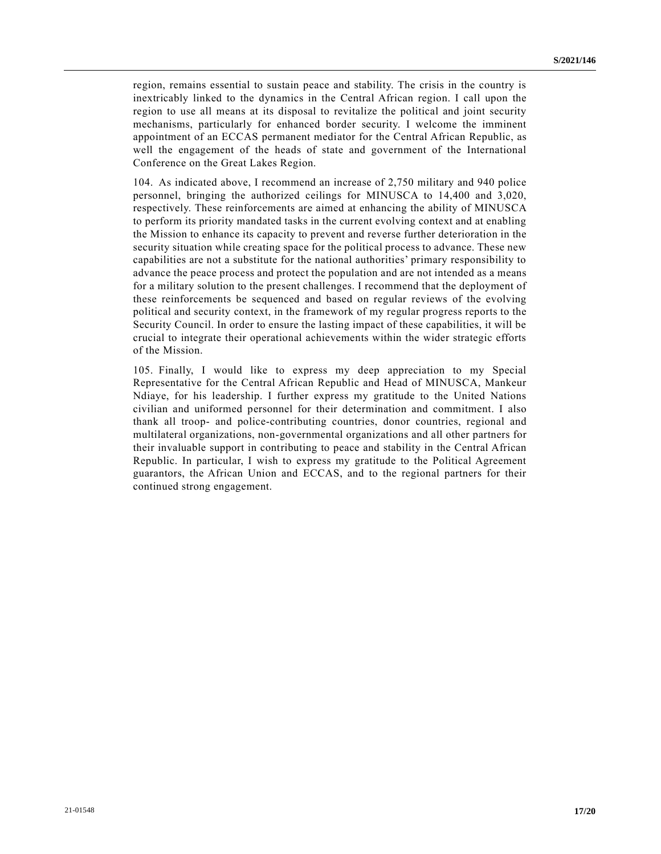region, remains essential to sustain peace and stability. The crisis in the country is inextricably linked to the dynamics in the Central African region. I call upon the region to use all means at its disposal to revitalize the political and joint security mechanisms, particularly for enhanced border security. I welcome the imminent appointment of an ECCAS permanent mediator for the Central African Republic, as well the engagement of the heads of state and government of the International Conference on the Great Lakes Region.

104. As indicated above, I recommend an increase of 2,750 military and 940 police personnel, bringing the authorized ceilings for MINUSCA to 14,400 and 3,020, respectively. These reinforcements are aimed at enhancing the ability of MINUSCA to perform its priority mandated tasks in the current evolving context and at enabling the Mission to enhance its capacity to prevent and reverse further deterioration in the security situation while creating space for the political process to advance. These new capabilities are not a substitute for the national authorities' primary responsibility to advance the peace process and protect the population and are not intended as a means for a military solution to the present challenges. I recommend that the deployment of these reinforcements be sequenced and based on regular reviews of the evolving political and security context, in the framework of my regular progress reports to the Security Council. In order to ensure the lasting impact of these capabilities, it will be crucial to integrate their operational achievements within the wider strategic efforts of the Mission.

105. Finally, I would like to express my deep appreciation to my Special Representative for the Central African Republic and Head of MINUSCA, Mankeur Ndiaye, for his leadership. I further express my gratitude to the United Nations civilian and uniformed personnel for their determination and commitment. I also thank all troop- and police-contributing countries, donor countries, regional and multilateral organizations, non-governmental organizations and all other partners for their invaluable support in contributing to peace and stability in the Central African Republic. In particular, I wish to express my gratitude to the Political Agreement guarantors, the African Union and ECCAS, and to the regional partners for their continued strong engagement.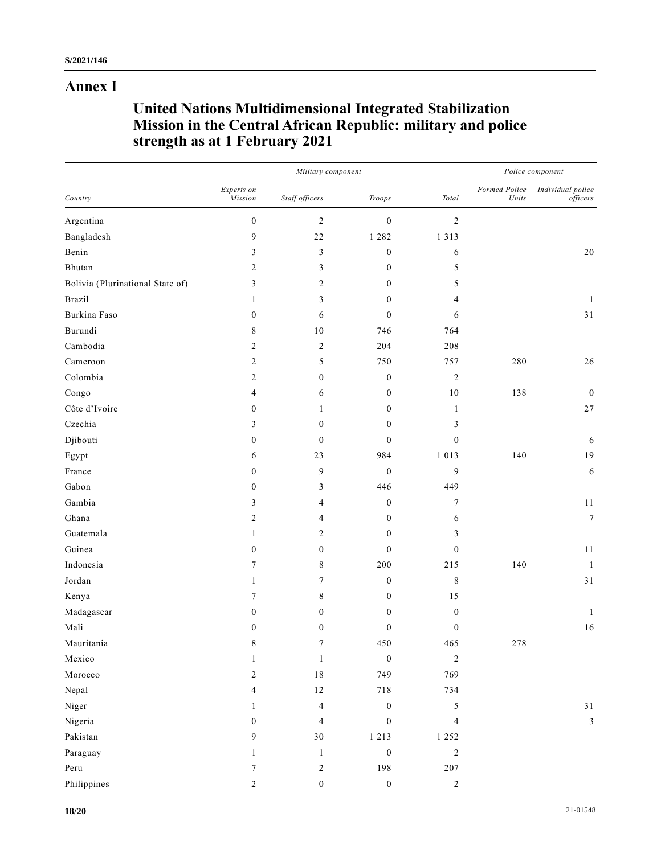## **Annex I**

# **United Nations Multidimensional Integrated Stabilization Mission in the Central African Republic: military and police strength as at 1 February 2021**

| Country                          |                       | Military component | Police component |                  |                        |                               |
|----------------------------------|-----------------------|--------------------|------------------|------------------|------------------------|-------------------------------|
|                                  | Experts on<br>Mission | Staff officers     | Troops           | Total            | Formed Police<br>Units | Individual police<br>officers |
| Argentina                        | $\boldsymbol{0}$      | $\boldsymbol{2}$   | $\boldsymbol{0}$ | $\overline{c}$   |                        |                               |
| Bangladesh                       | 9                     | 22                 | 1 2 8 2          | 1 3 1 3          |                        |                               |
| Benin                            | 3                     | $\mathfrak{Z}$     | $\boldsymbol{0}$ | 6                |                        | $20\,$                        |
| Bhutan                           | 2                     | $\mathfrak{Z}$     | $\boldsymbol{0}$ | 5                |                        |                               |
| Bolivia (Plurinational State of) | 3                     | 2                  | $\mathbf{0}$     | 5                |                        |                               |
| Brazil                           | 1                     | 3                  | $\mathbf{0}$     | 4                |                        | 1                             |
| Burkina Faso                     | $\boldsymbol{0}$      | 6                  | $\mathbf{0}$     | 6                |                        | 31                            |
| Burundi                          | 8                     | $10\,$             | 746              | 764              |                        |                               |
| Cambodia                         | $\overline{c}$        | $\boldsymbol{2}$   | 204              | 208              |                        |                               |
| Cameroon                         | $\overline{2}$        | 5                  | 750              | 757              | 280                    | $26\,$                        |
| Colombia                         | 2                     | $\boldsymbol{0}$   | $\boldsymbol{0}$ | $\boldsymbol{2}$ |                        |                               |
| Congo                            | 4                     | 6                  | $\mathbf{0}$     | $10\,$           | 138                    | $\mathbf{0}$                  |
| Côte d'Ivoire                    | $\boldsymbol{0}$      | $\mathbf{1}$       | $\boldsymbol{0}$ | $\mathbf{1}$     |                        | $27\,$                        |
| Czechia                          | 3                     | $\boldsymbol{0}$   | $\boldsymbol{0}$ | 3                |                        |                               |
| Djibouti                         | $\boldsymbol{0}$      | $\boldsymbol{0}$   | $\mathbf{0}$     | $\boldsymbol{0}$ |                        | 6                             |
| Egypt                            | 6                     | 23                 | 984              | 1 0 1 3          | 140                    | 19                            |
| France                           | $\boldsymbol{0}$      | 9                  | $\boldsymbol{0}$ | 9                |                        | 6                             |
| Gabon                            | $\boldsymbol{0}$      | 3                  | 446              | 449              |                        |                               |
| Gambia                           | 3                     | 4                  | $\boldsymbol{0}$ | 7                |                        | 11                            |
| Ghana                            | 2                     | 4                  | $\boldsymbol{0}$ | 6                |                        | $\boldsymbol{7}$              |
| Guatemala                        | 1                     | $\overline{c}$     | $\boldsymbol{0}$ | 3                |                        |                               |
| Guinea                           | $\boldsymbol{0}$      | $\boldsymbol{0}$   | $\mathbf{0}$     | $\boldsymbol{0}$ |                        | $11\,$                        |
| Indonesia                        | 7                     | $\,$ $\,$          | 200              | 215              | 140                    | $\mathbf{1}$                  |
| Jordan                           | 1                     | $\tau$             | $\boldsymbol{0}$ | 8                |                        | 31                            |
| Kenya                            | 7                     | $\,$ $\,$          | $\boldsymbol{0}$ | 15               |                        |                               |
| Madagascar                       | $\boldsymbol{0}$      | $\boldsymbol{0}$   | $\boldsymbol{0}$ | $\boldsymbol{0}$ |                        | 1                             |
| Mali                             | 0                     | $\boldsymbol{0}$   | $\mathbf{0}$     | $\boldsymbol{0}$ |                        | 16                            |
| Mauritania                       | 8                     | $\tau$             | 450              | 465              | 278                    |                               |
| Mexico                           | $\mathbf{1}$          | $\,1\,$            | $\boldsymbol{0}$ | $\sqrt{2}$       |                        |                               |
| Morocco                          | $\sqrt{2}$            | $1\,8$             | 749              | 769              |                        |                               |
| Nepal                            | $\overline{4}$        | $12\,$             | 718              | 734              |                        |                               |
| Niger                            | $\mathbf{1}$          | $\overline{4}$     | $\boldsymbol{0}$ | 5                |                        | $31\,$                        |
| Nigeria                          | $\mathbf{0}$          | $\overline{4}$     | $\boldsymbol{0}$ | $\overline{4}$   |                        | $\mathfrak{Z}$                |
| Pakistan                         | 9                     | $30\,$             | 1 2 1 3          | 1 2 5 2          |                        |                               |
| Paraguay                         | $\mathbf{1}$          | $\mathbf{1}$       | $\boldsymbol{0}$ | $\sqrt{2}$       |                        |                               |
| Peru                             | 7                     | $\sqrt{2}$         | 198              | 207              |                        |                               |
| Philippines                      | $\sqrt{2}$            | $\boldsymbol{0}$   | $\boldsymbol{0}$ | $\overline{c}$   |                        |                               |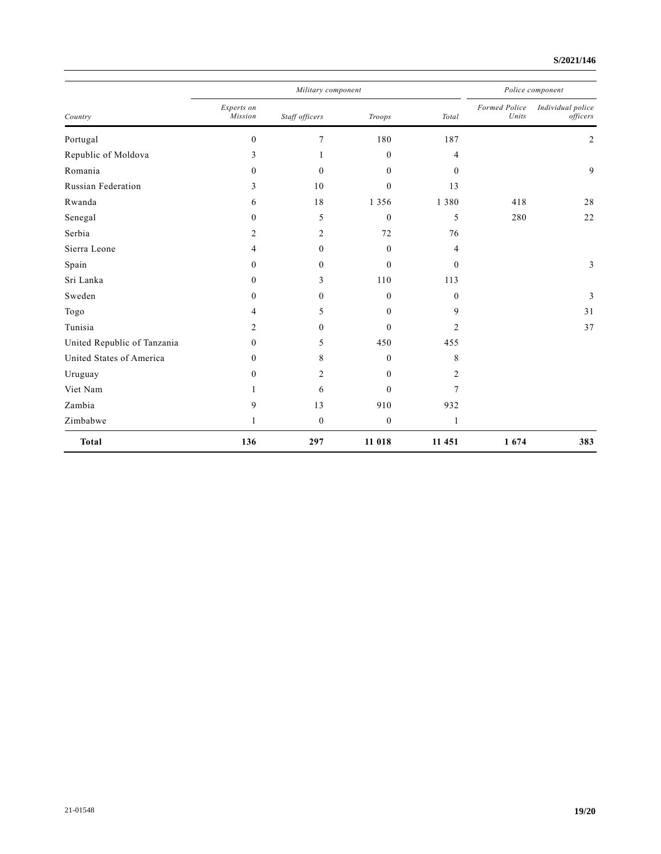### **S/2021/146**

| Country                     | Military component    |                  |              |                | Police component       |                               |
|-----------------------------|-----------------------|------------------|--------------|----------------|------------------------|-------------------------------|
|                             | Experts on<br>Mission | Staff officers   | Troops       | Total          | Formed Police<br>Units | Individual police<br>officers |
| Portugal                    | $\mathbf{0}$          | $\overline{7}$   | 180          | 187            |                        | $\overline{2}$                |
| Republic of Moldova         | 3                     |                  | $\theta$     | 4              |                        |                               |
| Romania                     | $\theta$              | $\mathbf{0}$     | $\mathbf{0}$ | $\mathbf{0}$   |                        | 9                             |
| Russian Federation          | 3                     | 10               | $\theta$     | 13             |                        |                               |
| Rwanda                      | 6                     | 18               | 1 3 5 6      | 1 3 8 0        | 418                    | 28                            |
| Senegal                     | $\mathbf{0}$          | 5                | $\mathbf{0}$ | 5              | 280                    | 22                            |
| Serbia                      | 2                     | $\overline{c}$   | 72           | 76             |                        |                               |
| Sierra Leone                | 4                     | $\mathbf{0}$     | $\theta$     | 4              |                        |                               |
| Spain                       | $\mathbf{0}$          | $\boldsymbol{0}$ | $\theta$     | $\Omega$       |                        | 3                             |
| Sri Lanka                   | $\theta$              | 3                | 110          | 113            |                        |                               |
| Sweden                      | $\mathbf{0}$          | $\boldsymbol{0}$ | $\theta$     | $\Omega$       |                        | 3                             |
| Togo                        | 4                     | 5                | $\mathbf{0}$ | 9              |                        | 31                            |
| Tunisia                     | 2                     | $\theta$         | $\theta$     | $\overline{2}$ |                        | 37                            |
| United Republic of Tanzania | $\mathbf{0}$          | 5                | 450          | 455            |                        |                               |
| United States of America    | $\mathbf{0}$          | 8                | $\theta$     | 8              |                        |                               |
| Uruguay                     | $\theta$              | $\overline{2}$   | $\theta$     | 2              |                        |                               |
| Viet Nam                    |                       | 6                | $\theta$     | 7              |                        |                               |
| Zambia                      | 9                     | 13               | 910          | 932            |                        |                               |
| Zimbabwe                    |                       | $\boldsymbol{0}$ | $\mathbf{0}$ | 1              |                        |                               |
| <b>Total</b>                | 136                   | 297              | 11 018       | 11 451         | 1674                   | 383                           |